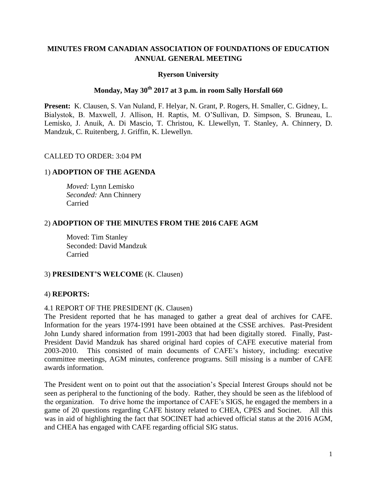# **MINUTES FROM CANADIAN ASSOCIATION OF FOUNDATIONS OF EDUCATION ANNUAL GENERAL MEETING**

#### **Ryerson University**

# **Monday, May 30th 2017 at 3 p.m. in room Sally Horsfall 660**

**Present:** K. Clausen, S. Van Nuland, F. Helyar, N. Grant, P. Rogers, H. Smaller, C. Gidney, L. Bialystok, B. Maxwell, J. Allison, H. Raptis, M. O'Sullivan, D. Simpson, S. Bruneau, L. Lemisko, J. Anuik, A. Di Mascio, T. Christou, K. Llewellyn, T. Stanley, A. Chinnery, D. Mandzuk, C. Ruitenberg, J. Griffin, K. Llewellyn.

#### CALLED TO ORDER: 3:04 PM

### 1) **ADOPTION OF THE AGENDA**

*Moved:* Lynn Lemisko *Seconded:* Ann Chinnery Carried

#### 2) **ADOPTION OF THE MINUTES FROM THE 2016 CAFE AGM**

Moved: Tim Stanley Seconded: David Mandzuk Carried

#### 3) **PRESIDENT'S WELCOME** (K. Clausen)

#### 4) **REPORTS:**

#### 4.1 REPORT OF THE PRESIDENT (K. Clausen)

The President reported that he has managed to gather a great deal of archives for CAFE. Information for the years 1974-1991 have been obtained at the CSSE archives. Past-President John Lundy shared information from 1991-2003 that had been digitally stored. Finally, Past-President David Mandzuk has shared original hard copies of CAFE executive material from 2003-2010. This consisted of main documents of CAFE's history, including: executive committee meetings, AGM minutes, conference programs. Still missing is a number of CAFE awards information.

The President went on to point out that the association's Special Interest Groups should not be seen as peripheral to the functioning of the body. Rather, they should be seen as the lifeblood of the organization. To drive home the importance of CAFE's SIGS, he engaged the members in a game of 20 questions regarding CAFE history related to CHEA, CPES and Socinet. All this was in aid of highlighting the fact that SOCINET had achieved official status at the 2016 AGM, and CHEA has engaged with CAFE regarding official SIG status.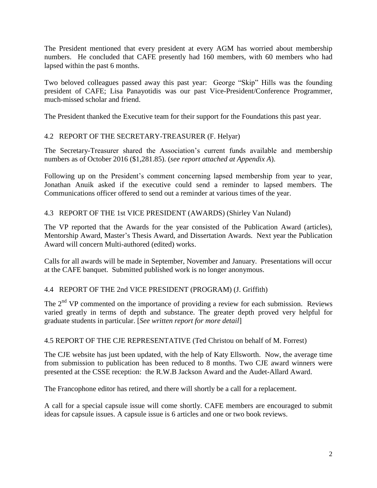The President mentioned that every president at every AGM has worried about membership numbers. He concluded that CAFE presently had 160 members, with 60 members who had lapsed within the past 6 months.

Two beloved colleagues passed away this past year: George "Skip" Hills was the founding president of CAFE; Lisa Panayotidis was our past Vice-President/Conference Programmer, much-missed scholar and friend.

The President thanked the Executive team for their support for the Foundations this past year.

# 4.2 REPORT OF THE SECRETARY-TREASURER (F. Helyar)

The Secretary-Treasurer shared the Association's current funds available and membership numbers as of October 2016 (\$1,281.85). (*see report attached at Appendix A*).

Following up on the President's comment concerning lapsed membership from year to year, Jonathan Anuik asked if the executive could send a reminder to lapsed members. The Communications officer offered to send out a reminder at various times of the year.

### 4.3 REPORT OF THE 1st VICE PRESIDENT (AWARDS) (Shirley Van Nuland)

The VP reported that the Awards for the year consisted of the Publication Award (articles), Mentorship Award, Master's Thesis Award, and Dissertation Awards. Next year the Publication Award will concern Multi-authored (edited) works.

Calls for all awards will be made in September, November and January. Presentations will occur at the CAFE banquet. Submitted published work is no longer anonymous.

# 4.4 REPORT OF THE 2nd VICE PRESIDENT (PROGRAM) (J. Griffith)

The  $2<sup>nd</sup> VP$  commented on the importance of providing a review for each submission. Reviews varied greatly in terms of depth and substance. The greater depth proved very helpful for graduate students in particular. [*See written report for more detail*]

#### 4.5 REPORT OF THE CJE REPRESENTATIVE (Ted Christou on behalf of M. Forrest)

The CJE website has just been updated, with the help of Katy Ellsworth. Now, the average time from submission to publication has been reduced to 8 months. Two CJE award winners were presented at the CSSE reception: the R.W.B Jackson Award and the Audet-Allard Award.

The Francophone editor has retired, and there will shortly be a call for a replacement.

A call for a special capsule issue will come shortly. CAFE members are encouraged to submit ideas for capsule issues. A capsule issue is 6 articles and one or two book reviews.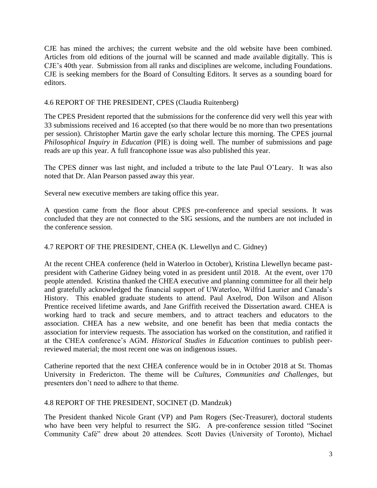CJE has mined the archives; the current website and the old website have been combined. Articles from old editions of the journal will be scanned and made available digitally. This is CJE's 40th year. Submission from all ranks and disciplines are welcome, including Foundations. CJE is seeking members for the Board of Consulting Editors. It serves as a sounding board for editors.

### 4.6 REPORT OF THE PRESIDENT, CPES (Claudia Ruitenberg)

The CPES President reported that the submissions for the conference did very well this year with 33 submissions received and 16 accepted (so that there would be no more than two presentations per session). Christopher Martin gave the early scholar lecture this morning. The CPES journal *Philosophical Inquiry in Education* (PIE) is doing well. The number of submissions and page reads are up this year. A full francophone issue was also published this year.

The CPES dinner was last night, and included a tribute to the late Paul O'Leary. It was also noted that Dr. Alan Pearson passed away this year.

Several new executive members are taking office this year.

A question came from the floor about CPES pre-conference and special sessions. It was concluded that they are not connected to the SIG sessions, and the numbers are not included in the conference session.

### 4.7 REPORT OF THE PRESIDENT, CHEA (K. Llewellyn and C. Gidney)

At the recent CHEA conference (held in Waterloo in October), Kristina Llewellyn became pastpresident with Catherine Gidney being voted in as president until 2018. At the event, over 170 people attended. Kristina thanked the CHEA executive and planning committee for all their help and gratefully acknowledged the financial support of UWaterloo, Wilfrid Laurier and Canada's History. This enabled graduate students to attend. Paul Axelrod, Don Wilson and Alison Prentice received lifetime awards, and Jane Griffith received the Dissertation award. CHEA is working hard to track and secure members, and to attract teachers and educators to the association. CHEA has a new website, and one benefit has been that media contacts the association for interview requests. The association has worked on the constitution, and ratified it at the CHEA conference's AGM. *Historical Studies in Education* continues to publish peerreviewed material; the most recent one was on indigenous issues.

Catherine reported that the next CHEA conference would be in in October 2018 at St. Thomas University in Fredericton. The theme will be *Cultures, Communities and Challenges,* but presenters don't need to adhere to that theme.

#### 4.8 REPORT OF THE PRESIDENT, SOCINET (D. Mandzuk)

The President thanked Nicole Grant (VP) and Pam Rogers (Sec-Treasurer), doctoral students who have been very helpful to resurrect the SIG. A pre-conference session titled "Socinet Community Café" drew about 20 attendees. Scott Davies (University of Toronto), Michael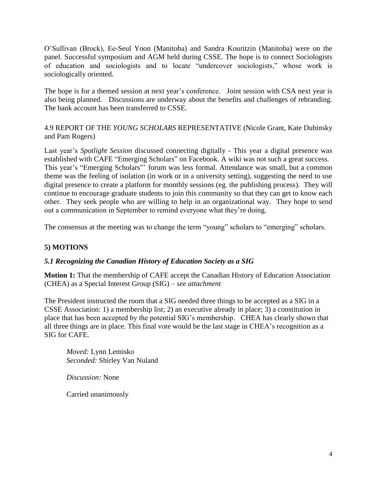O'Sullivan (Brock), Ee-Seul Yoon (Manitoba) and Sandra Kouritzin (Manitoba) were on the panel. Successful symposium and AGM held during CSSE. The hope is to connect Sociologists of education and sociologists and to locate "undercover sociologists," whose work is sociologically oriented.

The hope is for a themed session at next year's conference. Joint session with CSA next year is also being planned. Discussions are underway about the benefits and challenges of rebranding. The bank account has been transferred to CSSE.

4.9 REPORT OF THE *YOUNG SCHOLARS* REPRESENTATIVE (Nicole Grant, Kate Dubinsky and Pam Rogers)

Last year's *Spotlight Session* discussed connecting digitally - This year a digital presence was established with CAFE "Emerging Scholars" on Facebook. A wiki was not such a great success. This year's "Emerging Scholars"' forum was less formal. Attendance was small, but a common theme was the feeling of isolation (in work or in a university setting), suggesting the need to use digital presence to create a platform for monthly sessions (eg. the publishing process). They will continue to encourage graduate students to join this community so that they can get to know each other. They seek people who are willing to help in an organizational way. They hope to send out a communication in September to remind everyone what they're doing.

The consensus at the meeting was to change the term "young" scholars to "emerging" scholars.

# **5) MOTIONS**

# *5.1 Recognizing the Canadian History of Education Society as a SIG*

**Motion 1:** That the membership of CAFE accept the Canadian History of Education Association (CHEA) as a Special Interest Group (SIG) – *see attachment* 

The President instructed the room that a SIG needed three things to be accepted as a SIG in a CSSE Association: 1) a membership list; 2) an executive already in place; 3) a constitution in place that has been accepted by the potential SIG's membership. CHEA has clearly shown that all three things are in place. This final vote would be the last stage in CHEA's recognition as a SIG for CAFE.

*Moved:* Lynn Lemisko *Seconded:* Shirley Van Nuland

*Discussion:* None

Carried unanimously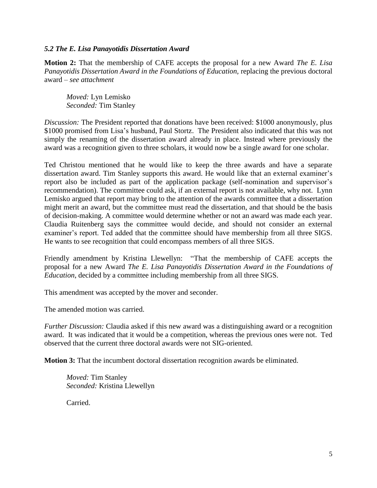#### *5.2 The E. Lisa Panayotidis Dissertation Award*

**Motion 2:** That the membership of CAFE accepts the proposal for a new Award *The E. Lisa Panayotidis Dissertation Award in the Foundations of Education, replacing the previous doctoral* award – *see attachment* 

*Moved:* Lyn Lemisko *Seconded:* Tim Stanley

*Discussion:* The President reported that donations have been received: \$1000 anonymously, plus \$1000 promised from Lisa's husband, Paul Stortz. The President also indicated that this was not simply the renaming of the dissertation award already in place. Instead where previously the award was a recognition given to three scholars, it would now be a single award for one scholar.

Ted Christou mentioned that he would like to keep the three awards and have a separate dissertation award. Tim Stanley supports this award. He would like that an external examiner's report also be included as part of the application package (self-nomination and supervisor's recommendation). The committee could ask, if an external report is not available, why not. Lynn Lemisko argued that report may bring to the attention of the awards committee that a dissertation might merit an award, but the committee must read the dissertation, and that should be the basis of decision-making. A committee would determine whether or not an award was made each year. Claudia Ruitenberg says the committee would decide, and should not consider an external examiner's report. Ted added that the committee should have membership from all three SIGS. He wants to see recognition that could encompass members of all three SIGS.

Friendly amendment by Kristina Llewellyn: "That the membership of CAFE accepts the proposal for a new Award *The E. Lisa Panayotidis Dissertation Award in the Foundations of Education*, decided by a committee including membership from all three SIGS*.*

This amendment was accepted by the mover and seconder.

The amended motion was carried.

*Further Discussion:* Claudia asked if this new award was a distinguishing award or a recognition award. It was indicated that it would be a competition, whereas the previous ones were not. Ted observed that the current three doctoral awards were not SIG-oriented.

**Motion 3:** That the incumbent doctoral dissertation recognition awards be eliminated.

*Moved:* Tim Stanley *Seconded:* Kristina Llewellyn

Carried.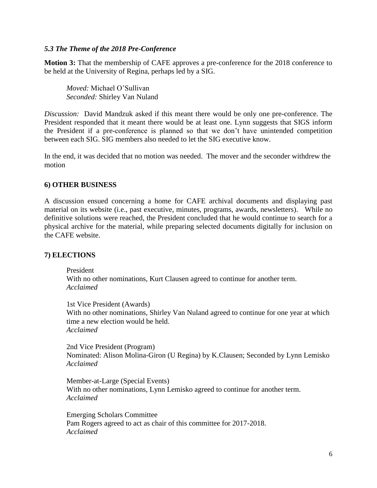#### *5.3 The Theme of the 2018 Pre-Conference*

**Motion 3:** That the membership of CAFE approves a pre-conference for the 2018 conference to be held at the University of Regina, perhaps led by a SIG.

*Moved:* Michael O'Sullivan *Seconded:* Shirley Van Nuland

*Discussion:* David Mandzuk asked if this meant there would be only one pre-conference. The President responded that it meant there would be at least one. Lynn suggests that SIGS inform the President if a pre-conference is planned so that we don't have unintended competition between each SIG. SIG members also needed to let the SIG executive know.

In the end, it was decided that no motion was needed. The mover and the seconder withdrew the motion

#### **6) OTHER BUSINESS**

A discussion ensued concerning a home for CAFE archival documents and displaying past material on its website (i.e., past executive, minutes, programs, awards, newsletters). While no definitive solutions were reached, the President concluded that he would continue to search for a physical archive for the material, while preparing selected documents digitally for inclusion on the CAFE website.

#### **7) ELECTIONS**

President With no other nominations, Kurt Clausen agreed to continue for another term. *Acclaimed*

1st Vice President (Awards) With no other nominations, Shirley Van Nuland agreed to continue for one year at which time a new election would be held. *Acclaimed*

2nd Vice President (Program) Nominated: Alison Molina-Giron (U Regina) by K.Clausen; Seconded by Lynn Lemisko *Acclaimed*

Member-at-Large (Special Events) With no other nominations, Lynn Lemisko agreed to continue for another term. *Acclaimed*

Emerging Scholars Committee Pam Rogers agreed to act as chair of this committee for 2017-2018. *Acclaimed*